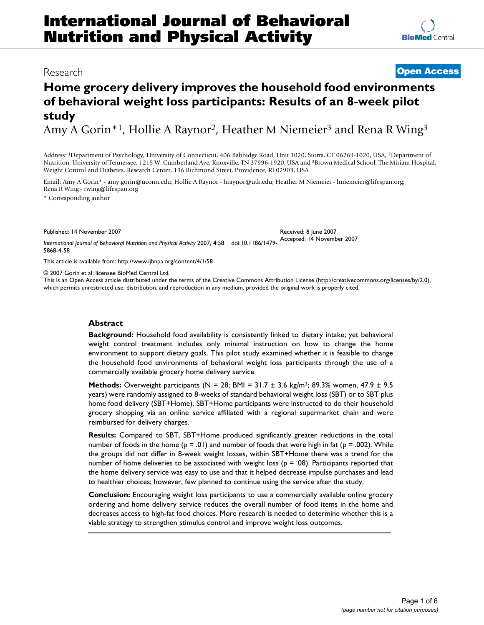# **Home grocery delivery improves the household food environments of behavioral weight loss participants: Results of an 8-week pilot study**

Amy A Gorin<sup>\*1</sup>, Hollie A Raynor<sup>2</sup>, Heather M Niemeier<sup>3</sup> and Rena R Wing<sup>3</sup>

Address: 1Department of Psychology, University of Connecticut, 406 Babbidge Road, Unit 1020, Storrs, CT 06269-1020, USA, 2Department of Nutrition, University of Tennessee, 1215 W. Cumberland Ave, Knoxville, TN 37996-1920, USA and 3Brown Medical School, The Miriam Hospital, Weight Control and Diabetes, Research Center, 196 Richmond Street, Providence, RI 02903, USA

Email: Amy A Gorin\* - amy.gorin@uconn.edu; Hollie A Raynor - hraynor@utk.edu; Heather M Niemeier - hniemeier@lifespan.org; Rena R Wing - rwing@lifespan.org

\* Corresponding author

Published: 14 November 2007

Received: 8 June 2007

*International Journal of Behavioral Nutrition and Physical Activity* 2007, **4**:58 doi:10.1186/1479- Accepted: 14 November 2007 5868-4-58

[This article is available from: http://www.ijbnpa.org/content/4/1/58](http://www.ijbnpa.org/content/4/1/58)

© 2007 Gorin et al; licensee BioMed Central Ltd.

This is an Open Access article distributed under the terms of the Creative Commons Attribution License [\(http://creativecommons.org/licenses/by/2.0\)](http://creativecommons.org/licenses/by/2.0), which permits unrestricted use, distribution, and reproduction in any medium, provided the original work is properly cited.

#### **Abstract**

**Background:** Household food availability is consistently linked to dietary intake; yet behavioral weight control treatment includes only minimal instruction on how to change the home environment to support dietary goals. This pilot study examined whether it is feasible to change the household food environments of behavioral weight loss participants through the use of a commercially available grocery home delivery service.

**Methods:** Overweight participants (N = 28; BMI = 31.7 ± 3.6 kg/m2; 89.3% women, 47.9 ± 9.5 years) were randomly assigned to 8-weeks of standard behavioral weight loss (SBT) or to SBT plus home food delivery (SBT+Home). SBT+Home participants were instructed to do their household grocery shopping via an online service affiliated with a regional supermarket chain and were reimbursed for delivery charges.

**Results:** Compared to SBT, SBT+Home produced significantly greater reductions in the total number of foods in the home ( $p = .01$ ) and number of foods that were high in fat ( $p = .002$ ). While the groups did not differ in 8-week weight losses, within SBT+Home there was a trend for the number of home deliveries to be associated with weight loss ( $p = .08$ ). Participants reported that the home delivery service was easy to use and that it helped decrease impulse purchases and lead to healthier choices; however, few planned to continue using the service after the study.

**Conclusion:** Encouraging weight loss participants to use a commercially available online grocery ordering and home delivery service reduces the overall number of food items in the home and decreases access to high-fat food choices. More research is needed to determine whether this is a viable strategy to strengthen stimulus control and improve weight loss outcomes.

## Research **[Open Access](http://www.biomedcentral.com/info/about/charter/)**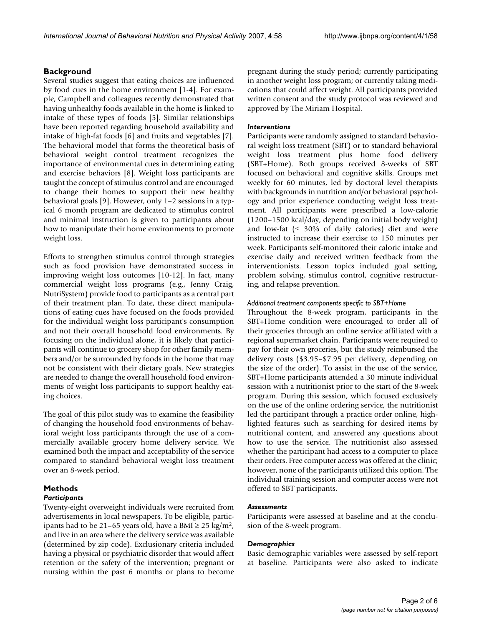#### **Background**

Several studies suggest that eating choices are influenced by food cues in the home environment [1-4]. For example, Campbell and colleagues recently demonstrated that having unhealthy foods available in the home is linked to intake of these types of foods [5]. Similar relationships have been reported regarding household availability and intake of high-fat foods [6] and fruits and vegetables [7]. The behavioral model that forms the theoretical basis of behavioral weight control treatment recognizes the importance of environmental cues in determining eating and exercise behaviors [8]. Weight loss participants are taught the concept of stimulus control and are encouraged to change their homes to support their new healthy behavioral goals [9]. However, only 1–2 sessions in a typical 6 month program are dedicated to stimulus control and minimal instruction is given to participants about how to manipulate their home environments to promote weight loss.

Efforts to strengthen stimulus control through strategies such as food provision have demonstrated success in improving weight loss outcomes [10-12]. In fact, many commercial weight loss programs (e.g., Jenny Craig, NutriSystem) provide food to participants as a central part of their treatment plan. To date, these direct manipulations of eating cues have focused on the foods provided for the individual weight loss participant's consumption and not their overall household food environments. By focusing on the individual alone, it is likely that participants will continue to grocery shop for other family members and/or be surrounded by foods in the home that may not be consistent with their dietary goals. New strategies are needed to change the overall household food environments of weight loss participants to support healthy eating choices.

The goal of this pilot study was to examine the feasibility of changing the household food environments of behavioral weight loss participants through the use of a commercially available grocery home delivery service. We examined both the impact and acceptability of the service compared to standard behavioral weight loss treatment over an 8-week period.

### **Methods**

#### *Participants*

Twenty-eight overweight individuals were recruited from advertisements in local newspapers. To be eligible, participants had to be 21–65 years old, have a BMI  $\geq$  25 kg/m<sup>2</sup>, and live in an area where the delivery service was available (determined by zip code). Exclusionary criteria included having a physical or psychiatric disorder that would affect retention or the safety of the intervention; pregnant or nursing within the past 6 months or plans to become pregnant during the study period; currently participating in another weight loss program; or currently taking medications that could affect weight. All participants provided written consent and the study protocol was reviewed and approved by The Miriam Hospital.

#### *Interventions*

Participants were randomly assigned to standard behavioral weight loss treatment (SBT) or to standard behavioral weight loss treatment plus home food delivery (SBT+Home). Both groups received 8-weeks of SBT focused on behavioral and cognitive skills. Groups met weekly for 60 minutes, led by doctoral level therapists with backgrounds in nutrition and/or behavioral psychology and prior experience conducting weight loss treatment. All participants were prescribed a low-calorie (1200–1500 kcal/day, depending on initial body weight) and low-fat  $( \leq 30\% )$  of daily calories) diet and were instructed to increase their exercise to 150 minutes per week. Participants self-monitored their caloric intake and exercise daily and received written feedback from the interventionists. Lesson topics included goal setting, problem solving, stimulus control, cognitive restructuring, and relapse prevention.

#### *Additional treatment components specific to SBT+Home*

Throughout the 8-week program, participants in the SBT+Home condition were encouraged to order all of their groceries through an online service affiliated with a regional supermarket chain. Participants were required to pay for their own groceries, but the study reimbursed the delivery costs (\$3.95–\$7.95 per delivery, depending on the size of the order). To assist in the use of the service, SBT+Home participants attended a 30 minute individual session with a nutritionist prior to the start of the 8-week program. During this session, which focused exclusively on the use of the online ordering service, the nutritionist led the participant through a practice order online, highlighted features such as searching for desired items by nutritional content, and answered any questions about how to use the service. The nutritionist also assessed whether the participant had access to a computer to place their orders. Free computer access was offered at the clinic; however, none of the participants utilized this option. The individual training session and computer access were not offered to SBT participants.

#### *Assessments*

Participants were assessed at baseline and at the conclusion of the 8-week program.

#### *Demographics*

Basic demographic variables were assessed by self-report at baseline. Participants were also asked to indicate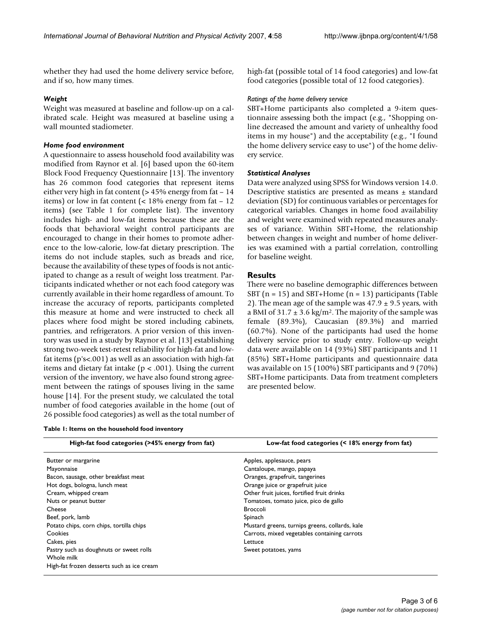whether they had used the home delivery service before, and if so, how many times.

#### *Weight*

Weight was measured at baseline and follow-up on a calibrated scale. Height was measured at baseline using a wall mounted stadiometer.

#### *Home food environment*

A questionnaire to assess household food availability was modified from Raynor et al. [6] based upon the 60-item Block Food Frequency Questionnaire [13]. The inventory has 26 common food categories that represent items either very high in fat content (> 45% energy from fat - 14 items) or low in fat content (< 18% energy from fat – 12 items) (see Table 1 for complete list). The inventory includes high- and low-fat items because these are the foods that behavioral weight control participants are encouraged to change in their homes to promote adherence to the low-calorie, low-fat dietary prescription. The items do not include staples, such as breads and rice, because the availability of these types of foods is not anticipated to change as a result of weight loss treatment. Participants indicated whether or not each food category was currently available in their home regardless of amount. To increase the accuracy of reports, participants completed this measure at home and were instructed to check all places where food might be stored including cabinets, pantries, and refrigerators. A prior version of this inventory was used in a study by Raynor et al. [13] establishing strong two-week test-retest reliability for high-fat and lowfat items (p's<.001) as well as an association with high-fat items and dietary fat intake (p < .001). Using the current version of the inventory, we have also found strong agreement between the ratings of spouses living in the same house [14]. For the present study, we calculated the total number of food categories available in the home (out of 26 possible food categories) as well as the total number of

|  |  |  | Table 1: Items on the household food inventory |  |  |
|--|--|--|------------------------------------------------|--|--|
|--|--|--|------------------------------------------------|--|--|

high-fat (possible total of 14 food categories) and low-fat food categories (possible total of 12 food categories).

#### *Ratings of the home delivery service*

SBT+Home participants also completed a 9-item questionnaire assessing both the impact (e.g., "Shopping online decreased the amount and variety of unhealthy food items in my house") and the acceptability (e.g., "I found the home delivery service easy to use") of the home delivery service.

#### *Statistical Analyses*

Data were analyzed using SPSS for Windows version 14.0. Descriptive statistics are presented as means ± standard deviation (SD) for continuous variables or percentages for categorical variables. Changes in home food availability and weight were examined with repeated measures analyses of variance. Within SBT+Home, the relationship between changes in weight and number of home deliveries was examined with a partial correlation, controlling for baseline weight.

#### **Results**

There were no baseline demographic differences between SBT ( $n = 15$ ) and SBT+Home ( $n = 13$ ) participants (Table 2). The mean age of the sample was  $47.9 \pm 9.5$  years, with a BMI of  $31.7 \pm 3.6$  kg/m<sup>2</sup>. The majority of the sample was female (89.3%), Caucasian (89.3%) and married (60.7%). None of the participants had used the home delivery service prior to study entry. Follow-up weight data were available on 14 (93%) SBT participants and 11 (85%) SBT+Home participants and questionnaire data was available on 15 (100%) SBT participants and 9 (70%) SBT+Home participants. Data from treatment completers are presented below.

| High-fat food categories (>45% energy from fat)       | Low-fat food categories (< 18% energy from fat) |
|-------------------------------------------------------|-------------------------------------------------|
| Butter or margarine                                   | Apples, applesauce, pears                       |
| Mayonnaise                                            | Cantaloupe, mango, papaya                       |
| Bacon, sausage, other breakfast meat                  | Oranges, grapefruit, tangerines                 |
| Hot dogs, bologna, lunch meat                         | Orange juice or grapefruit juice                |
| Cream, whipped cream                                  | Other fruit juices, fortified fruit drinks      |
| Nuts or peanut butter                                 | Tomatoes, tomato juice, pico de gallo           |
| Cheese                                                | <b>Broccoli</b>                                 |
| Beef, pork, lamb                                      | Spinach                                         |
| Potato chips, corn chips, tortilla chips              | Mustard greens, turnips greens, collards, kale  |
| Cookies                                               | Carrots, mixed vegetables containing carrots    |
| Cakes, pies                                           | Lettuce                                         |
| Pastry such as doughnuts or sweet rolls<br>Whole milk | Sweet potatoes, yams                            |
| High-fat frozen desserts such as ice cream            |                                                 |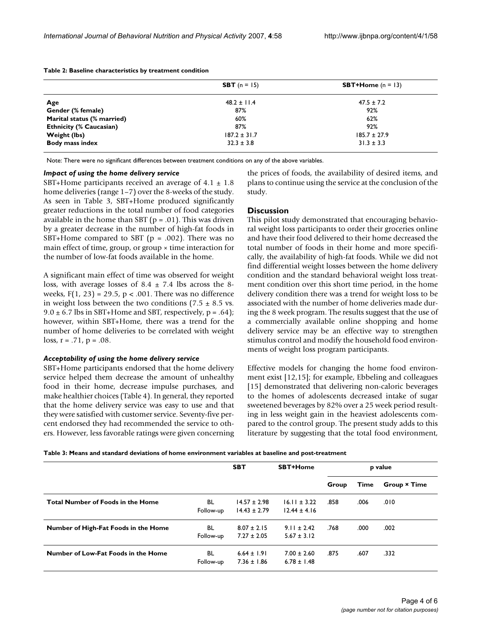|                                | <b>SBT</b> ( $n = 15$ ) | <b>SBT+Home</b> $(n = 13)$ |
|--------------------------------|-------------------------|----------------------------|
| Age                            | $48.2 \pm 11.4$         | $47.5 \pm 7.2$             |
| Gender (% female)              | 87%                     | 92%                        |
| Marital status (% married)     | 60%                     | 62%                        |
| <b>Ethnicity (% Caucasian)</b> | 87%                     | 92%                        |
| Weight (lbs)                   | $187.2 \pm 31.7$        | $185.7 \pm 27.9$           |
| <b>Body mass index</b>         | $32.3 \pm 3.8$          | $31.3 \pm 3.3$             |

**Table 2: Baseline characteristics by treatment condition**

Note: There were no significant differences between treatment conditions on any of the above variables.

#### *Impact of using the home delivery service*

SBT+Home participants received an average of  $4.1 \pm 1.8$ home deliveries (range 1–7) over the 8-weeks of the study. As seen in Table 3, SBT+Home produced significantly greater reductions in the total number of food categories available in the home than SBT ( $p = .01$ ). This was driven by a greater decrease in the number of high-fat foods in SBT+Home compared to SBT ( $p = .002$ ). There was no main effect of time, group, or group × time interaction for the number of low-fat foods available in the home.

A significant main effect of time was observed for weight loss, with average losses of  $8.4 \pm 7.4$  lbs across the 8weeks,  $F(1, 23) = 29.5$ ,  $p < .001$ . There was no difference in weight loss between the two conditions (7.5  $\pm$  8.5 vs.  $9.0 \pm 6.7$  lbs in SBT+Home and SBT, respectively, p = .64); however, within SBT+Home, there was a trend for the number of home deliveries to be correlated with weight loss,  $r = .71$ ,  $p = .08$ .

#### *Acceptability of using the home delivery service*

SBT+Home participants endorsed that the home delivery service helped them decrease the amount of unhealthy food in their home, decrease impulse purchases, and make healthier choices (Table 4). In general, they reported that the home delivery service was easy to use and that they were satisfied with customer service. Seventy-five percent endorsed they had recommended the service to others. However, less favorable ratings were given concerning the prices of foods, the availability of desired items, and plans to continue using the service at the conclusion of the study.

#### **Discussion**

This pilot study demonstrated that encouraging behavioral weight loss participants to order their groceries online and have their food delivered to their home decreased the total number of foods in their home and more specifically, the availability of high-fat foods. While we did not find differential weight losses between the home delivery condition and the standard behavioral weight loss treatment condition over this short time period, in the home delivery condition there was a trend for weight loss to be associated with the number of home deliveries made during the 8 week program. The results suggest that the use of a commercially available online shopping and home delivery service may be an effective way to strengthen stimulus control and modify the household food environments of weight loss program participants.

Effective models for changing the home food environment exist [12,15]; for example, Ebbeling and colleagues [15] demonstrated that delivering non-caloric beverages to the homes of adolescents decreased intake of sugar sweetened beverages by 82% over a 25 week period resulting in less weight gain in the heaviest adolescents compared to the control group. The present study adds to this literature by suggesting that the total food environment,

**Table 3: Means and standard deviations of home environment variables at baseline and post-treatment**

|                                          |           | <b>SBT</b>       | SBT+Home         | p value |      |              |
|------------------------------------------|-----------|------------------|------------------|---------|------|--------------|
|                                          |           |                  |                  | Group   | Time | Group × Time |
| <b>Total Number of Foods in the Home</b> | <b>BL</b> | $14.57 \pm 2.98$ | $16.11 \pm 3.22$ | .858    | .006 | .010         |
|                                          | Follow-up | $14.43 \pm 2.79$ | $12.44 \pm 4.16$ |         |      |              |
| Number of High-Fat Foods in the Home     | BL        | $8.07 \pm 2.15$  | $9.11 \pm 2.42$  | .768    | .000 | .002         |
|                                          | Follow-up | $7.27 \pm 2.05$  | $5.67 \pm 3.12$  |         |      |              |
| Number of Low-Fat Foods in the Home      | BL        | $6.64 \pm 1.91$  | $7.00 \pm 2.60$  | .875    | .607 | .332         |
|                                          | Follow-up | $7.36 \pm 1.86$  | $6.78 \pm 1.48$  |         |      |              |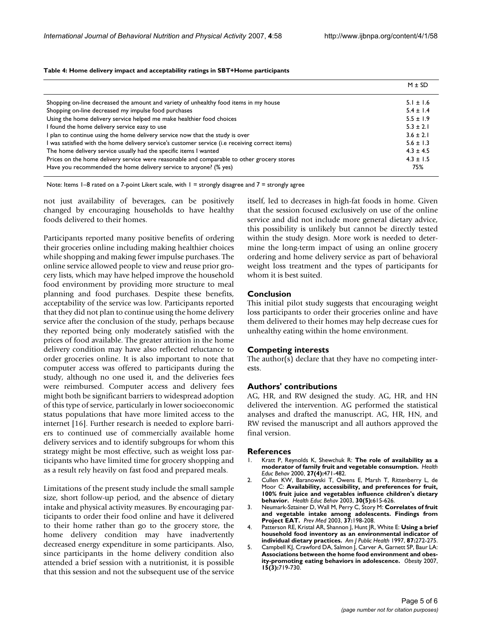**Table 4: Home delivery impact and acceptability ratings in SBT+Home participants**

|                                                                                                 | $M \pm SD$    |
|-------------------------------------------------------------------------------------------------|---------------|
| Shopping on-line decreased the amount and variety of unhealthy food items in my house           | $5.1 \pm 1.6$ |
| Shopping on-line decreased my impulse food purchases                                            | $5.4 \pm 1.4$ |
| Using the home delivery service helped me make healthier food choices                           | $5.5 \pm 1.9$ |
| I found the home delivery service easy to use                                                   | $5.3 \pm 2.1$ |
| I plan to continue using the home delivery service now that the study is over                   | $3.6 \pm 2.1$ |
| I was satisfied with the home delivery service's customer service (i.e receiving correct items) | $5.6 \pm 1.3$ |
| The home delivery service usually had the specific items I wanted                               | $4.3 \pm 4.5$ |
| Prices on the home delivery service were reasonable and comparable to other grocery stores      | $4.3 \pm 1.5$ |
| Have you recommended the home delivery service to anyone? (% yes)                               | 75%           |

Note: Items 1-8 rated on a 7-point Likert scale, with 1 = strongly disagree and 7 = strongly agree

not just availability of beverages, can be positively changed by encouraging households to have healthy foods delivered to their homes.

Participants reported many positive benefits of ordering their groceries online including making healthier choices while shopping and making fewer impulse purchases. The online service allowed people to view and reuse prior grocery lists, which may have helped improve the household food environment by providing more structure to meal planning and food purchases. Despite these benefits, acceptability of the service was low. Participants reported that they did not plan to continue using the home delivery service after the conclusion of the study, perhaps because they reported being only moderately satisfied with the prices of food available. The greater attrition in the home delivery condition may have also reflected reluctance to order groceries online. It is also important to note that computer access was offered to participants during the study, although no one used it, and the deliveries fees were reimbursed. Computer access and delivery fees might both be significant barriers to widespread adoption of this type of service, particularly in lower socioeconomic status populations that have more limited access to the internet [16]. Further research is needed to explore barriers to continued use of commercially available home delivery services and to identify subgroups for whom this strategy might be most effective, such as weight loss participants who have limited time for grocery shopping and as a result rely heavily on fast food and prepared meals.

Limitations of the present study include the small sample size, short follow-up period, and the absence of dietary intake and physical activity measures. By encouraging participants to order their food online and have it delivered to their home rather than go to the grocery store, the home delivery condition may have inadvertently decreased energy expenditure in some participants. Also, since participants in the home delivery condition also attended a brief session with a nutritionist, it is possible that this session and not the subsequent use of the service itself, led to decreases in high-fat foods in home. Given that the session focused exclusively on use of the online service and did not include more general dietary advice, this possibility is unlikely but cannot be directly tested within the study design. More work is needed to determine the long-term impact of using an online grocery ordering and home delivery service as part of behavioral weight loss treatment and the types of participants for whom it is best suited.

#### **Conclusion**

This initial pilot study suggests that encouraging weight loss participants to order their groceries online and have them delivered to their homes may help decrease cues for unhealthy eating within the home environment.

#### **Competing interests**

The author(s) declare that they have no competing interests.

#### **Authors' contributions**

AG, HR, and RW designed the study. AG, HR, and HN delivered the intervention. AG performed the statistical analyses and drafted the manuscript. AG, HR, HN, and RW revised the manuscript and all authors approved the final version.

#### **References**

- 1. Kratt P, Reynolds K, Shewchuk R: **[The role of availability as a](http://www.ncbi.nlm.nih.gov/entrez/query.fcgi?cmd=Retrieve&db=PubMed&dopt=Abstract&list_uids=10929754) [moderator of family fruit and vegetable consumption.](http://www.ncbi.nlm.nih.gov/entrez/query.fcgi?cmd=Retrieve&db=PubMed&dopt=Abstract&list_uids=10929754)** *Health Educ Behav* 2000, **27(4):**471-482.
- 2. Cullen KW, Baranowski T, Owens E, Marsh T, Rittenberry L, de Moor C: **[Availability, accessibility, and preferences for fruit,](http://www.ncbi.nlm.nih.gov/entrez/query.fcgi?cmd=Retrieve&db=PubMed&dopt=Abstract&list_uids=14582601) [100% fruit juice and vegetables influence children's dietary](http://www.ncbi.nlm.nih.gov/entrez/query.fcgi?cmd=Retrieve&db=PubMed&dopt=Abstract&list_uids=14582601) [behavior.](http://www.ncbi.nlm.nih.gov/entrez/query.fcgi?cmd=Retrieve&db=PubMed&dopt=Abstract&list_uids=14582601)** *Health Educ Behav* 2003, **30(5):**615-626.
- 3. Neumark-Sztainer D, Wall M, Perry C, Story M: **[Correlates of fruit](http://www.ncbi.nlm.nih.gov/entrez/query.fcgi?cmd=Retrieve&db=PubMed&dopt=Abstract&list_uids=12914825) [and vegetable intake among adolescents. Findings from](http://www.ncbi.nlm.nih.gov/entrez/query.fcgi?cmd=Retrieve&db=PubMed&dopt=Abstract&list_uids=12914825) [Project EAT.](http://www.ncbi.nlm.nih.gov/entrez/query.fcgi?cmd=Retrieve&db=PubMed&dopt=Abstract&list_uids=12914825)** *Prev Med* 2003, **37:**198-208.
- 4. Patterson RE, Kristal AR, Shannon J, Hunt JR, White E: **[Using a brief](http://www.ncbi.nlm.nih.gov/entrez/query.fcgi?cmd=Retrieve&db=PubMed&dopt=Abstract&list_uids=9103109) [household food inventory as an environmental indicator of](http://www.ncbi.nlm.nih.gov/entrez/query.fcgi?cmd=Retrieve&db=PubMed&dopt=Abstract&list_uids=9103109) [individual dietary practices.](http://www.ncbi.nlm.nih.gov/entrez/query.fcgi?cmd=Retrieve&db=PubMed&dopt=Abstract&list_uids=9103109)** *Am J Public Health* 1997, **87:**272-275.
- 5. Campbell KJ, Crawford DA, Salmon J, Carver A, Garnett SP, Baur LA: **[Associations between the home food environment and obes](http://www.ncbi.nlm.nih.gov/entrez/query.fcgi?cmd=Retrieve&db=PubMed&dopt=Abstract&list_uids=17372323)[ity-promoting eating behaviors in adolescence.](http://www.ncbi.nlm.nih.gov/entrez/query.fcgi?cmd=Retrieve&db=PubMed&dopt=Abstract&list_uids=17372323)** *Obesity* 2007, **15(3):**719-730.